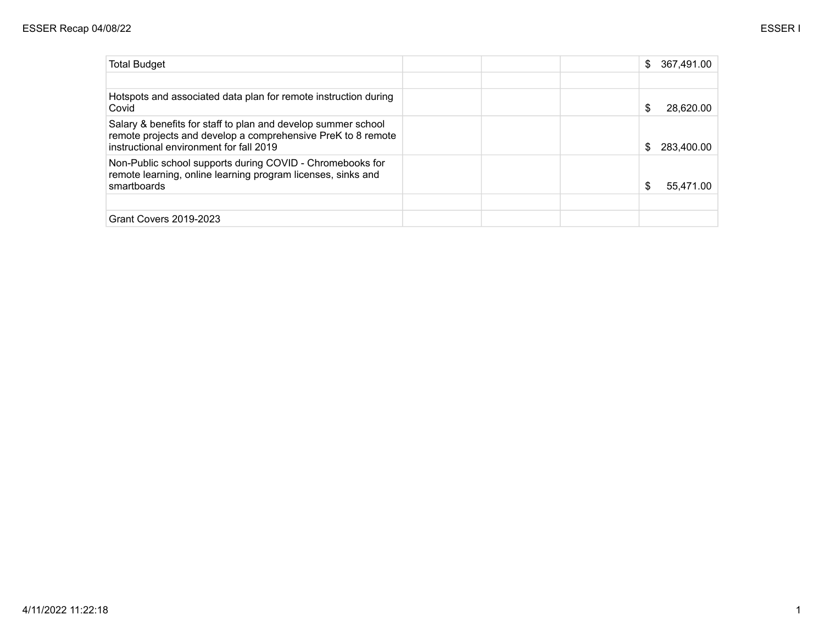| \$ | 367,491.00 |
|----|------------|
|    |            |
| \$ | 28.620.00  |
| S  | 283.400.00 |
| \$ | 55.471.00  |
|    |            |
|    |            |
|    |            |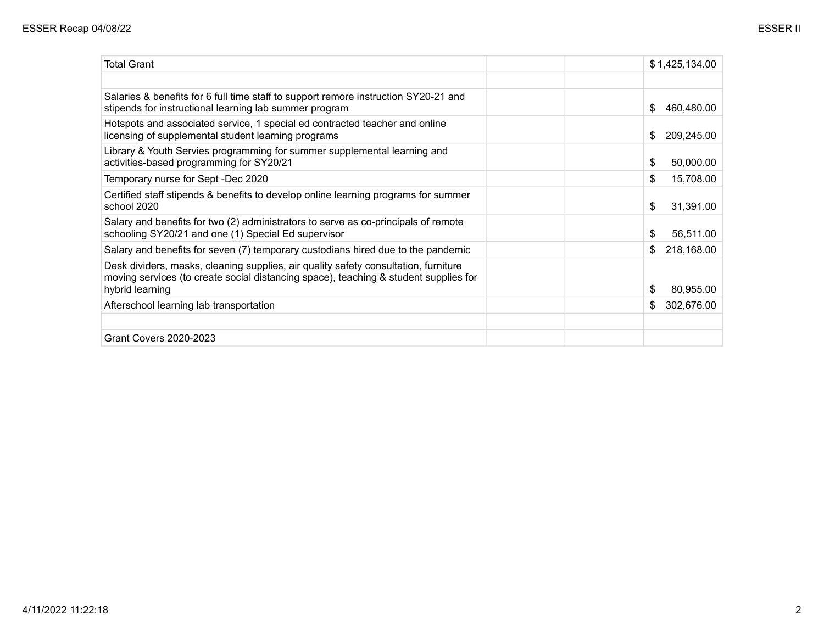| <b>Total Grant</b>                                                                                                                                                                             |  | \$1,425,134.00    |
|------------------------------------------------------------------------------------------------------------------------------------------------------------------------------------------------|--|-------------------|
|                                                                                                                                                                                                |  |                   |
| Salaries & benefits for 6 full time staff to support remore instruction SY20-21 and<br>stipends for instructional learning lab summer program                                                  |  | S<br>460,480.00   |
| Hotspots and associated service, 1 special ed contracted teacher and online<br>licensing of supplemental student learning programs                                                             |  | 209,245.00<br>\$  |
| Library & Youth Servies programming for summer supplemental learning and<br>activities-based programming for SY20/21                                                                           |  | \$<br>50,000.00   |
| Temporary nurse for Sept -Dec 2020                                                                                                                                                             |  | \$<br>15,708.00   |
| Certified staff stipends & benefits to develop online learning programs for summer<br>school 2020                                                                                              |  | \$<br>31,391.00   |
| Salary and benefits for two (2) administrators to serve as co-principals of remote<br>schooling SY20/21 and one (1) Special Ed supervisor                                                      |  | \$<br>56,511.00   |
| Salary and benefits for seven (7) temporary custodians hired due to the pandemic                                                                                                               |  | 218,168.00<br>\$  |
| Desk dividers, masks, cleaning supplies, air quality safety consultation, furniture<br>moving services (to create social distancing space), teaching & student supplies for<br>hybrid learning |  | \$<br>80,955.00   |
| Afterschool learning lab transportation                                                                                                                                                        |  | 302,676.00<br>\$. |
|                                                                                                                                                                                                |  |                   |
| <b>Grant Covers 2020-2023</b>                                                                                                                                                                  |  |                   |